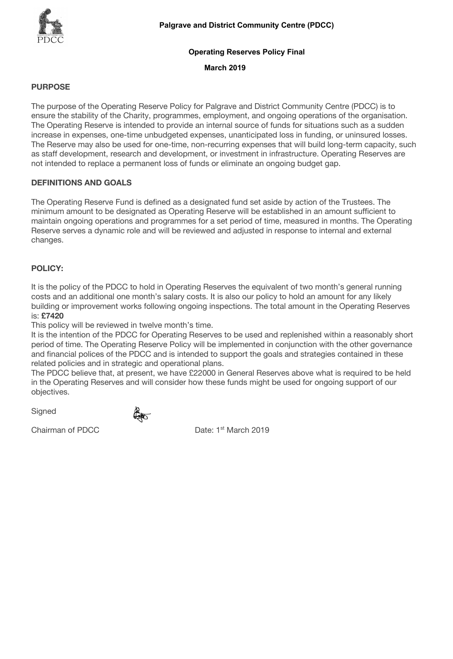# **Operating Reserves Policy Final**

#### **March 2019**

# **PURPOSE**

The purpose of the Operating Reserve Policy for Palgrave and District Community Centre (PDCC) is to ensure the stability of the Charity, programmes, employment, and ongoing operations of the organisation. The Operating Reserve is intended to provide an internal source of funds for situations such as a sudden increase in expenses, one-time unbudgeted expenses, unanticipated loss in funding, or uninsured losses. The Reserve may also be used for one-time, non-recurring expenses that will build long-term capacity, such as staff development, research and development, or investment in infrastructure. Operating Reserves are not intended to replace a permanent loss of funds or eliminate an ongoing budget gap.

## **DEFINITIONS AND GOALS**

The Operating Reserve Fund is defined as a designated fund set aside by action of the Trustees. The minimum amount to be designated as Operating Reserve will be established in an amount sufficient to maintain ongoing operations and programmes for a set period of time, measured in months. The Operating Reserve serves a dynamic role and will be reviewed and adjusted in response to internal and external changes.

## **POLICY:**

It is the policy of the PDCC to hold in Operating Reserves the equivalent of two month's general running costs and an additional one month's salary costs. It is also our policy to hold an amount for any likely building or improvement works following ongoing inspections. The total amount in the Operating Reserves is: **£7420**

This policy will be reviewed in twelve month's time.

It is the intention of the PDCC for Operating Reserves to be used and replenished within a reasonably short period of time. The Operating Reserve Policy will be implemented in conjunction with the other governance and financial polices of the PDCC and is intended to support the goals and strategies contained in these related policies and in strategic and operational plans.

The PDCC believe that, at present, we have £22000 in General Reserves above what is required to be held in the Operating Reserves and will consider how these funds might be used for ongoing support of our objectives.

**Signed** 

Chairman of PDCC Date: 1<sup>st</sup> March 2019